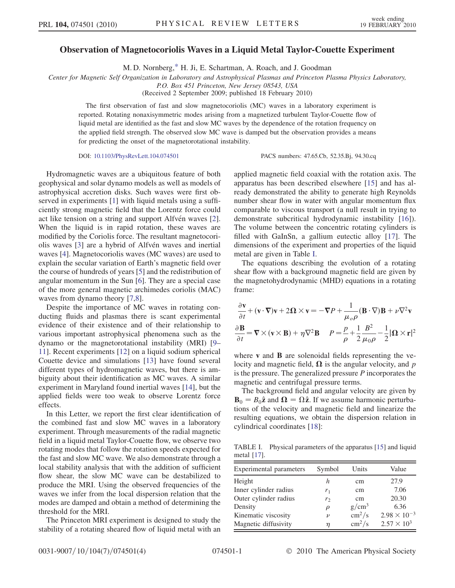## Observation of Magnetocoriolis Waves in a Liquid Metal Taylor-Couette Experiment

M. D. Nornberg[,\\*](#page-3-0) H. Ji, E. Schartman, A. Roach, and J. Goodman

<span id="page-0-1"></span>Center for Magnetic Self Organization in Laboratory and Astrophysical Plasmas and Princeton Plasma Physics Laboratory,

P.O. Box 451 Princeton, New Jersey 08543, USA

(Received 2 September 2009; published 18 February 2010)

The first observation of fast and slow magnetocoriolis (MC) waves in a laboratory experiment is reported. Rotating nonaxisymmetric modes arising from a magnetized turbulent Taylor-Couette flow of liquid metal are identified as the fast and slow MC waves by the dependence of the rotation frequency on the applied field strength. The observed slow MC wave is damped but the observation provides a means for predicting the onset of the magnetorotational instability.

DOI: [10.1103/PhysRevLett.104.074501](http://dx.doi.org/10.1103/PhysRevLett.104.074501) PACS numbers: 47.65.Cb, 52.35.Bj, 94.30.cq

Hydromagnetic waves are a ubiquitous feature of both geophysical and solar dynamo models as well as models of astrophysical accretion disks. Such waves were first observed in experiments [[1](#page-3-1)] with liquid metals using a sufficiently strong magnetic field that the Lorentz force could act like tension on a string and support Alfvén waves [[2\]](#page-3-2). When the liquid is in rapid rotation, these waves are modified by the Coriolis force. The resultant magnetocori-olis waves [\[3](#page-3-3)] are a hybrid of Alfvén waves and inertial waves [[4](#page-3-4)]. Magnetocoriolis waves (MC waves) are used to explain the secular variation of Earth's magnetic field over the course of hundreds of years [[5\]](#page-3-5) and the redistribution of angular momentum in the Sun [[6\]](#page-3-6). They are a special case of the more general magnetic archimedes coriolis (MAC) waves from dynamo theory [\[7,](#page-3-7)[8](#page-3-8)].

Despite the importance of MC waves in rotating conducting fluids and plasmas there is scant experimental evidence of their existence and of their relationship to various important astrophysical phenomena such as the dynamo or the magnetorotational instability (MRI) [[9–](#page-3-9) [11](#page-3-10)]. Recent experiments [[12](#page-3-11)] on a liquid sodium spherical Couette device and simulations [\[13\]](#page-3-12) have found several different types of hydromagnetic waves, but there is ambiguity about their identification as MC waves. A similar experiment in Maryland found inertial waves [[14](#page-3-13)], but the applied fields were too weak to observe Lorentz force effects.

In this Letter, we report the first clear identification of the combined fast and slow MC waves in a laboratory experiment. Through measurements of the radial magnetic field in a liquid metal Taylor-Couette flow, we observe two rotating modes that follow the rotation speeds expected for the fast and slow MC wave. We also demonstrate through a local stability analysis that with the addition of sufficient flow shear, the slow MC wave can be destabilized to produce the MRI. Using the observed frequencies of the waves we infer from the local dispersion relation that the modes are damped and obtain a method of determining the threshold for the MRI.

The Princeton MRI experiment is designed to study the stability of a rotating sheared flow of liquid metal with an applied magnetic field coaxial with the rotation axis. The apparatus has been described elsewhere [\[15\]](#page-3-14) and has already demonstrated the ability to generate high Reynolds number shear flow in water with angular momentum flux comparable to viscous transport (a null result in trying to demonstrate subcritical hydrodynamic instability [\[16](#page-3-15)]). The volume between the concentric rotating cylinders is filled with GaInSn, a gallium eutectic alloy [[17](#page-3-16)]. The dimensions of the experiment and properties of the liquid metal are given in Table [I](#page-0-0).

The equations describing the evolution of a rotating shear flow with a background magnetic field are given by the magnetohydrodynamic (MHD) equations in a rotating frame:

$$
\frac{\partial \mathbf{v}}{\partial t} + (\mathbf{v} \cdot \nabla) \mathbf{v} + 2\mathbf{\Omega} \times \mathbf{v} = -\nabla P + \frac{1}{\mu_o \rho} (\mathbf{B} \cdot \nabla) \mathbf{B} + \nu \nabla^2 \mathbf{v}
$$
  

$$
\frac{\partial \mathbf{B}}{\partial t} = \nabla \times (\mathbf{v} \times \mathbf{B}) + \eta \nabla^2 \mathbf{B} \qquad P = \frac{p}{\rho} + \frac{1}{2} \frac{B^2}{\mu_o \rho} - \frac{1}{2} |\mathbf{\Omega} \times \mathbf{r}|^2
$$

where **v** and **B** are solenoidal fields representing the velocity and magnetic field,  $\Omega$  is the angular velocity, and p is the pressure. The generalized pressure P incorporates the magnetic and centrifugal pressure terms.

The background field and angular velocity are given by  $\mathbf{B}_0 = B_0\hat{\mathbf{z}}$  and  $\mathbf{\Omega} = \Omega\hat{\mathbf{z}}$ . If we assume harmonic perturbations of the velocity and magnetic field and linearize the resulting equations, we obtain the dispersion relation in cylindrical coordinates [[18](#page-3-17)]:

<span id="page-0-0"></span>TABLE I. Physical parameters of the apparatus [\[15](#page-3-14)] and liquid metal [\[17\]](#page-3-16).

| Experimental parameters | Symbol             | Units                  | Value                 |
|-------------------------|--------------------|------------------------|-----------------------|
| Height                  | h                  | cm                     | 27.9                  |
| Inner cylinder radius   | $r_1$              | cm                     | 7.06                  |
| Outer cylinder radius   | r <sub>2</sub>     | cm                     | 20.30                 |
| Density                 | $\rho$             | $g/cm^3$               | 6.36                  |
| Kinematic viscosity     | $\boldsymbol{\nu}$ | $\text{cm}^2/\text{s}$ | $2.98 \times 10^{-3}$ |
| Magnetic diffusivity    | η                  | $\text{cm}^2/\text{s}$ | $2.57 \times 10^3$    |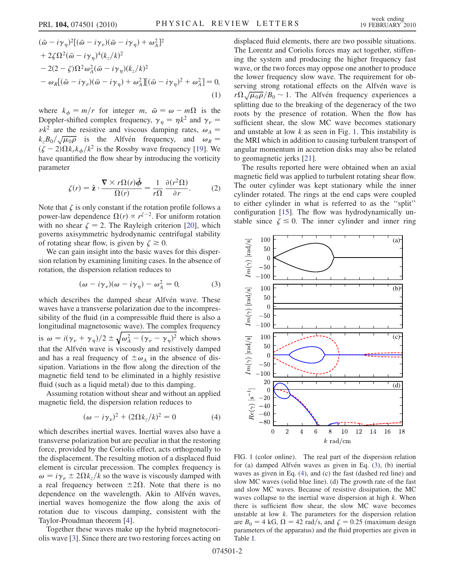<span id="page-1-3"></span>
$$
(\bar{\omega} - i\gamma_{\eta})^{2}[(\bar{\omega} - i\gamma_{\nu})(\bar{\omega} - i\gamma_{\eta}) + \omega_{A}^{2}]^{2}
$$
  
+2\zeta\Omega^{2}(\bar{\omega} - i\gamma\_{\eta})^{4}(k\_{z}/k)^{2}  
-2(2-\zeta)\Omega^{2}\omega\_{A}^{2}(\bar{\omega} - i\gamma\_{\eta})(k\_{z}/k)^{2}  
-\omega\_{R}[(\bar{\omega} - i\gamma\_{\nu})(\bar{\omega} - i\gamma\_{\eta}) + \omega\_{A}^{2}][( \bar{\omega} - i\gamma\_{\eta})^{2} + \omega\_{A}^{2}] = 0, (1)

where  $k_{\phi} = m/r$  for integer m,  $\bar{\omega} = \omega - m\Omega$  is the Doppler-shifted complex frequency,  $\gamma_n = \eta k^2$  and  $\gamma_\nu =$  $\nu k^2$  are the resistive and viscous damping rates,  $\omega_A$  =  $k_zB_0/\sqrt{\mu_0\rho}$  is the Alfvén frequency, and  $\omega_R =$  $(\zeta - 2)\Omega k_r k_\phi/k^2$  is the Rossby wave frequency [[19\]](#page-3-18). We have quantified the flow shear by introducing the vorticity parameter

$$
\zeta(r) = \hat{\mathbf{z}} \cdot \frac{\nabla \times r\Omega(r)\hat{\phi}}{\Omega(r)} = \frac{1}{r\Omega} \frac{\partial(r^2\Omega)}{\partial r}.
$$
 (2)

Note that  $\zeta$  is only constant if the rotation profile follows a power-law dependence  $\Omega(r) \propto r^{\zeta-2}$ . For uniform rotation with no shear  $\zeta = 2$ . The Rayleigh criterion [\[20\]](#page-3-19), which governs axisymmetric hydrodynamic centrifugal stability of rotating shear flow, is given by  $\zeta \ge 0$ .

<span id="page-1-1"></span>We can gain insight into the basic waves for this dispersion relation by examining limiting cases. In the absence of rotation, the dispersion relation reduces to

$$
(\omega - i\gamma_{\nu})(\omega - i\gamma_{\eta}) - \omega_{A}^{2} = 0, \qquad (3)
$$

which describes the damped shear Alfvén wave. These waves have a transverse polarization due to the incompressibility of the fluid (in a compressible fluid there is also a longitudinal magnetosonic wave). The complex frequency longitudinal magnetosonic wave). The complex frequency<br>is  $\omega = i(\gamma_{\nu} + \gamma_{\eta})/2 \pm \sqrt{\omega_A^2 - (\gamma_{\nu} - \gamma_{\eta})^2}$  which shows that the Alfvén wave is viscously and resistively damped and has a real frequency of  $\pm \omega_A$  in the absence of dissipation. Variations in the flow along the direction of the magnetic field tend to be eliminated in a highly resistive fluid (such as a liquid metal) due to this damping.

<span id="page-1-2"></span>Assuming rotation without shear and without an applied magnetic field, the dispersion relation reduces to

$$
(\omega - i\gamma_{\nu})^2 + (2\Omega k_z/k)^2 = 0 \tag{4}
$$

which describes inertial waves. Inertial waves also have a transverse polarization but are peculiar in that the restoring force, provided by the Coriolis effect, acts orthogonally to the displacement. The resulting motion of a displaced fluid element is circular precession. The complex frequency is  $\omega = i \gamma_{\nu} \pm 2\Omega k_z / k$  so the wave is viscously damped with a real frequency between  $\pm 2\Omega$ . Note that there is no dependence on the wavelength. Akin to Alfvén waves, inertial waves homogenize the flow along the axis of rotation due to viscous damping, consistent with the Taylor-Proudman theorem [[4\]](#page-3-4).

Together these waves make up the hybrid magnetocoriolis wave [[3\]](#page-3-3). Since there are two restoring forces acting on displaced fluid elements, there are two possible situations. The Lorentz and Coriolis forces may act together, stiffening the system and producing the higher frequency fast wave, or the two forces may oppose one another to produce the lower frequency slow wave. The requirement for observing strong rotational effects on the Alfvén wave is serving strong rotational effects on the Alfven wave is  $r\Omega\sqrt{\mu_0\rho}/B_0 \sim 1$ . The Alfvén frequency experiences a splitting due to the breaking of the degeneracy of the two roots by the presence of rotation. When the flow has sufficient shear, the slow MC wave becomes stationary and unstable at low  $k$  as seen in Fig. [1](#page-1-0). This instability is the MRI which in addition to causing turbulent transport of angular momentum in accretion disks may also be related to geomagnetic jerks [[21](#page-3-20)].

The results reported here were obtained when an axial magnetic field was applied to turbulent rotating shear flow. The outer cylinder was kept stationary while the inner cylinder rotated. The rings at the end caps were coupled to either cylinder in what is referred to as the ''split'' configuration [[15](#page-3-14)]. The flow was hydrodynamically unstable since  $\zeta \leq 0$ . The inner cylinder and inner ring

<span id="page-1-0"></span>

FIG. 1 (color online). The real part of the dispersion relation for (a) damped Alfvén waves as given in Eq.  $(3)$  $(3)$ , (b) inertial waves as given in Eq. ([4](#page-1-2)), and (c) the fast (dashed red line) and slow MC waves (solid blue line). (d) The growth rate of the fast and slow MC waves. Because of resistive dissipation, the MC waves collapse to the inertial wave dispersion at high  $k$ . When there is sufficient flow shear, the slow MC wave becomes unstable at low  $k$ . The parameters for the dispersion relation are  $B_0 = 4$  kG,  $\Omega = 42$  rad/s, and  $\zeta = 0.25$  (maximum design parameters of the apparatus) and the fluid properties are given in Table [I](#page-0-0).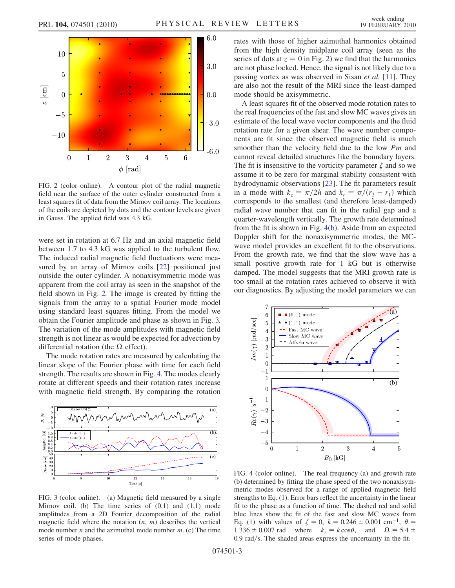

<span id="page-2-0"></span>

FIG. 2 (color online). A contour plot of the radial magnetic field near the surface of the outer cylinder constructed from a least squares fit of data from the Mirnov coil array. The locations of the coils are depicted by dots and the contour levels are given in Gauss. The applied field was 4.3 kG.

were set in rotation at 6.7 Hz and an axial magnetic field between 1.7 to 4.3 kG was applied to the turbulent flow. The induced radial magnetic field fluctuations were measured by an array of Mirnov coils [\[22\]](#page-3-21) positioned just outside the outer cylinder. A nonaxisymmetric mode was apparent from the coil array as seen in the snapshot of the field shown in Fig. [2.](#page-2-0) The image is created by fitting the signals from the array to a spatial Fourier mode model using standard least squares fitting. From the model we obtain the Fourier amplitude and phase as shown in Fig. [3.](#page-2-1) The variation of the mode amplitudes with magnetic field strength is not linear as would be expected for advection by differential rotation (the  $\Omega$  effect).

The mode rotation rates are measured by calculating the linear slope of the Fourier phase with time for each field strength. The results are shown in Fig. [4.](#page-2-2) The modes clearly rotate at different speeds and their rotation rates increase with magnetic field strength. By comparing the rotation

<span id="page-2-1"></span>

FIG. 3 (color online). (a) Magnetic field measured by a single Mirnov coil. (b) The time series of  $(0,1)$  and  $(1,1)$  mode amplitudes from a 2D Fourier decomposition of the radial magnetic field where the notation  $(n, m)$  describes the vertical mode number  $n$  and the azimuthal mode number  $m$ . (c) The time series of mode phases.

rates with those of higher azimuthal harmonics obtained from the high density midplane coil array (seen as the series of dots at  $z = 0$  in Fig. [2\)](#page-2-0) we find that the harmonics are not phase locked. Hence, the signal is not likely due to a passing vortex as was observed in Sisan et al. [[11](#page-3-10)]. They are also not the result of the MRI since the least-damped mode should be axisymmetric.

A least squares fit of the observed mode rotation rates to the real frequencies of the fast and slow MC waves gives an estimate of the local wave vector components and the fluid rotation rate for a given shear. The wave number components are fit since the observed magnetic field is much smoother than the velocity field due to the low Pm and cannot reveal detailed structures like the boundary layers. The fit is insensitive to the vorticity parameter  $\zeta$  and so we assume it to be zero for marginal stability consistent with hydrodynamic observations [\[23\]](#page-3-22). The fit parameters result in a mode with  $k_z = \pi/2h$  and  $k_r = \pi/(r_2 - r_1)$  which corresponds to the smallest (and therefore least-damped) radial wave number that can fit in the radial gap and a quarter-wavelength vertically. The growth rate determined from the fit is shown in Fig. [4\(b\).](#page-2-3) Aside from an expected Doppler shift for the nonaxisymmetric modes, the MCwave model provides an excellent fit to the observations. From the growth rate, we find that the slow wave has a small positive growth rate for 1 kG but is otherwise damped. The model suggests that the MRI growth rate is too small at the rotation rates achieved to observe it with our diagnostics. By adjusting the model parameters we can

<span id="page-2-2"></span>

<span id="page-2-3"></span>FIG. 4 (color online). The real frequency (a) and growth rate (b) determined by fitting the phase speed of the two nonaxisymmetric modes observed for a range of applied magnetic field strengths to Eq. ([1\)](#page-1-3). Error bars reflect the uncertainty in the linear fit to the phase as a function of time. The dashed red and solid blue lines show the fit of the fast and slow MC waves from Eq. ([1](#page-1-3)) with values of  $\zeta = 0$ ,  $k = 0.246 \pm 0.001$  cm<sup>-1</sup>,  $\theta =$ 1.336  $\pm$  0.007 rad where  $k_z = k \cos \theta$ , and  $\Omega = 5.4 \pm$  $0.9 \text{ rad/s}$ . The shaded areas express the uncertainty in the fit.